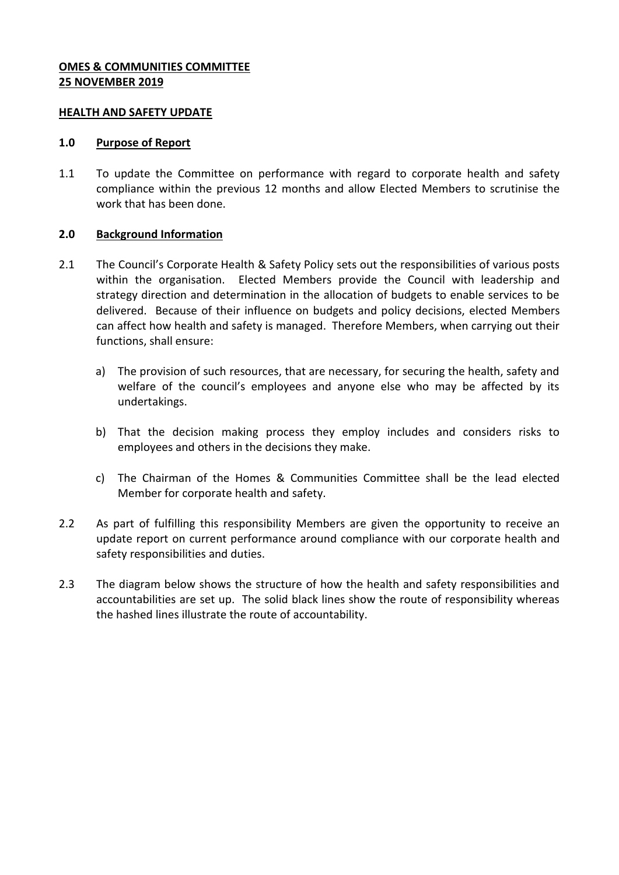## **OMES & COMMUNITIES COMMITTEE 25 NOVEMBER 2019**

### **HEALTH AND SAFETY UPDATE**

### **1.0 Purpose of Report**

1.1 To update the Committee on performance with regard to corporate health and safety compliance within the previous 12 months and allow Elected Members to scrutinise the work that has been done.

## **2.0 Background Information**

- 2.1 The Council's Corporate Health & Safety Policy sets out the responsibilities of various posts within the organisation. Elected Members provide the Council with leadership and strategy direction and determination in the allocation of budgets to enable services to be delivered. Because of their influence on budgets and policy decisions, elected Members can affect how health and safety is managed. Therefore Members, when carrying out their functions, shall ensure:
	- a) The provision of such resources, that are necessary, for securing the health, safety and welfare of the council's employees and anyone else who may be affected by its undertakings.
	- b) That the decision making process they employ includes and considers risks to employees and others in the decisions they make.
	- c) The Chairman of the Homes & Communities Committee shall be the lead elected Member for corporate health and safety.
- 2.2 As part of fulfilling this responsibility Members are given the opportunity to receive an update report on current performance around compliance with our corporate health and safety responsibilities and duties.
- 2.3 The diagram below shows the structure of how the health and safety responsibilities and accountabilities are set up. The solid black lines show the route of responsibility whereas the hashed lines illustrate the route of accountability.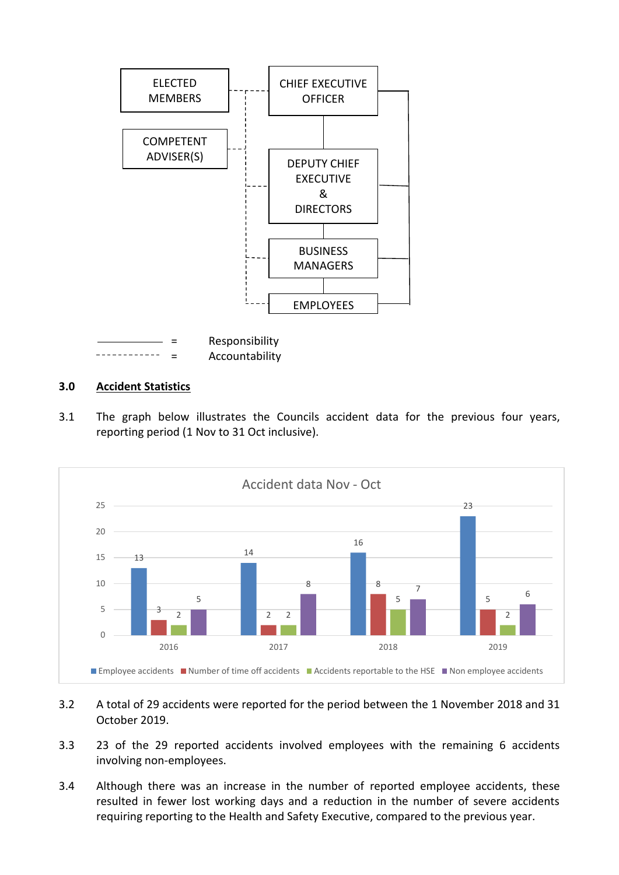

# **3.0 Accident Statistics**

3.1 The graph below illustrates the Councils accident data for the previous four years, reporting period (1 Nov to 31 Oct inclusive).



- 3.2 A total of 29 accidents were reported for the period between the 1 November 2018 and 31 October 2019.
- 3.3 23 of the 29 reported accidents involved employees with the remaining 6 accidents involving non-employees.
- 3.4 Although there was an increase in the number of reported employee accidents, these resulted in fewer lost working days and a reduction in the number of severe accidents requiring reporting to the Health and Safety Executive, compared to the previous year.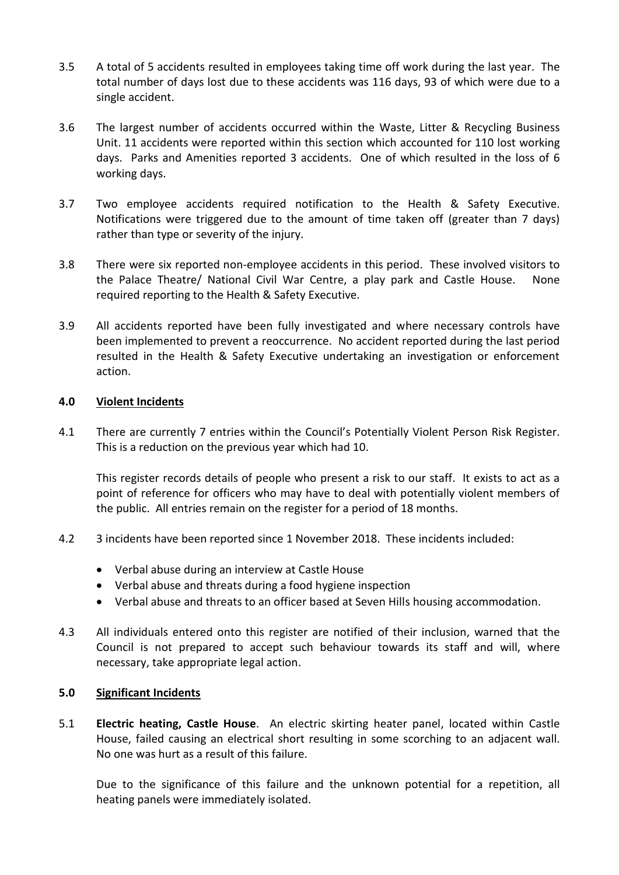- 3.5 A total of 5 accidents resulted in employees taking time off work during the last year. The total number of days lost due to these accidents was 116 days, 93 of which were due to a single accident.
- 3.6 The largest number of accidents occurred within the Waste, Litter & Recycling Business Unit. 11 accidents were reported within this section which accounted for 110 lost working days. Parks and Amenities reported 3 accidents. One of which resulted in the loss of 6 working days.
- 3.7 Two employee accidents required notification to the Health & Safety Executive. Notifications were triggered due to the amount of time taken off (greater than 7 days) rather than type or severity of the injury.
- 3.8 There were six reported non-employee accidents in this period. These involved visitors to the Palace Theatre/ National Civil War Centre, a play park and Castle House. None required reporting to the Health & Safety Executive.
- 3.9 All accidents reported have been fully investigated and where necessary controls have been implemented to prevent a reoccurrence. No accident reported during the last period resulted in the Health & Safety Executive undertaking an investigation or enforcement action.

#### **4.0 Violent Incidents**

4.1 There are currently 7 entries within the Council's Potentially Violent Person Risk Register. This is a reduction on the previous year which had 10.

This register records details of people who present a risk to our staff. It exists to act as a point of reference for officers who may have to deal with potentially violent members of the public. All entries remain on the register for a period of 18 months.

- 4.2 3 incidents have been reported since 1 November 2018. These incidents included:
	- Verbal abuse during an interview at Castle House
	- Verbal abuse and threats during a food hygiene inspection
	- Verbal abuse and threats to an officer based at Seven Hills housing accommodation.
- 4.3 All individuals entered onto this register are notified of their inclusion, warned that the Council is not prepared to accept such behaviour towards its staff and will, where necessary, take appropriate legal action.

#### **5.0 Significant Incidents**

5.1 **Electric heating, Castle House**. An electric skirting heater panel, located within Castle House, failed causing an electrical short resulting in some scorching to an adjacent wall. No one was hurt as a result of this failure.

Due to the significance of this failure and the unknown potential for a repetition, all heating panels were immediately isolated.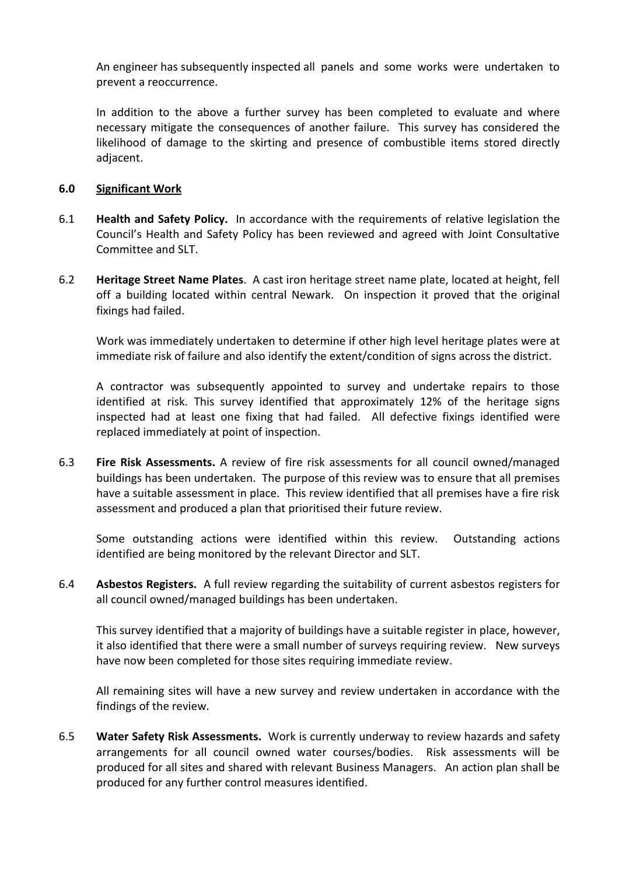An engineer has subsequently inspected all panels and some works were undertaken to prevent a reoccurrence.

In addition to the above a further survey has been completed to evaluate and where necessary mitigate the consequences of another failure. This survey has considered the likelihood of damage to the skirting and presence of combustible items stored directly adjacent.

#### **6.0 Significant Work**

- 6.1 **Health and Safety Policy.** In accordance with the requirements of relative legislation the Council's Health and Safety Policy has been reviewed and agreed with Joint Consultative Committee and SLT.
- 6.2 **Heritage Street Name Plates**. A cast iron heritage street name plate, located at height, fell off a building located within central Newark. On inspection it proved that the original fixings had failed.

Work was immediately undertaken to determine if other high level heritage plates were at immediate risk of failure and also identify the extent/condition of signs across the district.

A contractor was subsequently appointed to survey and undertake repairs to those identified at risk. This survey identified that approximately 12% of the heritage signs inspected had at least one fixing that had failed. All defective fixings identified were replaced immediately at point of inspection.

6.3 **Fire Risk Assessments.** A review of fire risk assessments for all council owned/managed buildings has been undertaken. The purpose of this review was to ensure that all premises have a suitable assessment in place. This review identified that all premises have a fire risk assessment and produced a plan that prioritised their future review.

Some outstanding actions were identified within this review. Outstanding actions identified are being monitored by the relevant Director and SLT.

6.4 **Asbestos Registers.** A full review regarding the suitability of current asbestos registers for all council owned/managed buildings has been undertaken.

This survey identified that a majority of buildings have a suitable register in place, however, it also identified that there were a small number of surveys requiring review. New surveys have now been completed for those sites requiring immediate review.

All remaining sites will have a new survey and review undertaken in accordance with the findings of the review.

6.5 **Water Safety Risk Assessments.** Work is currently underway to review hazards and safety arrangements for all council owned water courses/bodies. Risk assessments will be produced for all sites and shared with relevant Business Managers. An action plan shall be produced for any further control measures identified.